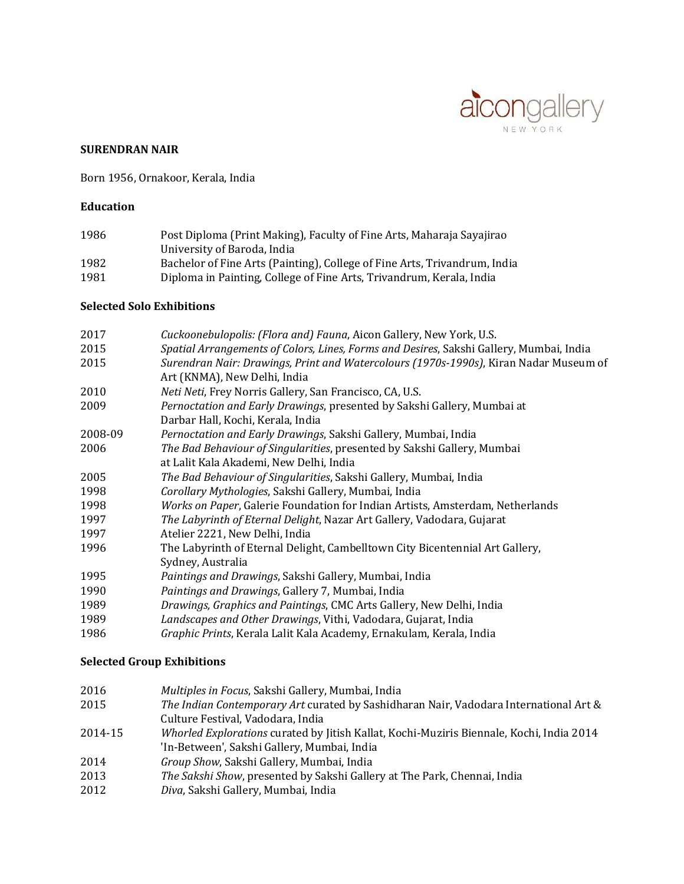

#### **SURENDRAN NAIR**

Born 1956, Ornakoor, Kerala, India

### **Education**

| 1986 | Post Diploma (Print Making), Faculty of Fine Arts, Maharaja Sayajirao     |
|------|---------------------------------------------------------------------------|
|      | University of Baroda, India                                               |
| 1982 | Bachelor of Fine Arts (Painting), College of Fine Arts, Trivandrum, India |
| 1981 | Diploma in Painting, College of Fine Arts, Trivandrum, Kerala, India      |

#### **Selected Solo Exhibitions**

| 2017    | Cuckoonebulopolis: (Flora and) Fauna, Aicon Gallery, New York, U.S.                     |
|---------|-----------------------------------------------------------------------------------------|
| 2015    | Spatial Arrangements of Colors, Lines, Forms and Desires, Sakshi Gallery, Mumbai, India |
| 2015    | Surendran Nair: Drawings, Print and Watercolours (1970s-1990s), Kiran Nadar Museum of   |
|         | Art (KNMA), New Delhi, India                                                            |
| 2010    | Neti Neti, Frey Norris Gallery, San Francisco, CA, U.S.                                 |
| 2009    | Pernoctation and Early Drawings, presented by Sakshi Gallery, Mumbai at                 |
|         | Darbar Hall, Kochi, Kerala, India                                                       |
| 2008-09 | Pernoctation and Early Drawings, Sakshi Gallery, Mumbai, India                          |
| 2006    | The Bad Behaviour of Singularities, presented by Sakshi Gallery, Mumbai                 |
|         | at Lalit Kala Akademi, New Delhi, India                                                 |
| 2005    | The Bad Behaviour of Singularities, Sakshi Gallery, Mumbai, India                       |
| 1998    | Corollary Mythologies, Sakshi Gallery, Mumbai, India                                    |
| 1998    | Works on Paper, Galerie Foundation for Indian Artists, Amsterdam, Netherlands           |
| 1997    | The Labyrinth of Eternal Delight, Nazar Art Gallery, Vadodara, Gujarat                  |
| 1997    | Atelier 2221, New Delhi, India                                                          |
| 1996    | The Labyrinth of Eternal Delight, Cambelltown City Bicentennial Art Gallery,            |
|         | Sydney, Australia                                                                       |
| 1995    | Paintings and Drawings, Sakshi Gallery, Mumbai, India                                   |
| 1990    | Paintings and Drawings, Gallery 7, Mumbai, India                                        |
| 1989    | Drawings, Graphics and Paintings, CMC Arts Gallery, New Delhi, India                    |
| 1989    | Landscapes and Other Drawings, Vithi, Vadodara, Gujarat, India                          |
| 1986    | Graphic Prints, Kerala Lalit Kala Academy, Ernakulam, Kerala, India                     |

### **Selected Group Exhibitions**

| 2016    | Multiples in Focus, Sakshi Gallery, Mumbai, India                                                               |
|---------|-----------------------------------------------------------------------------------------------------------------|
| 2015    | The Indian Contemporary Art curated by Sashidharan Nair, Vadodara International Art &                           |
|         | Culture Festival, Vadodara, India                                                                               |
| 2014-15 | Whorled Explorations curated by Jitish Kallat, Kochi-Muziris Biennale, Kochi, India 2014                        |
|         | 'In-Between', Sakshi Gallery, Mumbai, India                                                                     |
| 2014    | Group Show, Sakshi Gallery, Mumbai, India                                                                       |
| 2013    | The Sakshi Show, presented by Sakshi Gallery at The Park, Chennai, India                                        |
| 0010    | $D_{\text{max}}$ , $C_{\text{max}}$ , $C_{\text{max}}$ , $M_{\text{max}}$ , $L_{\text{max}}$ , $L_{\text{max}}$ |

2012 *Diva*, Sakshi Gallery, Mumbai, India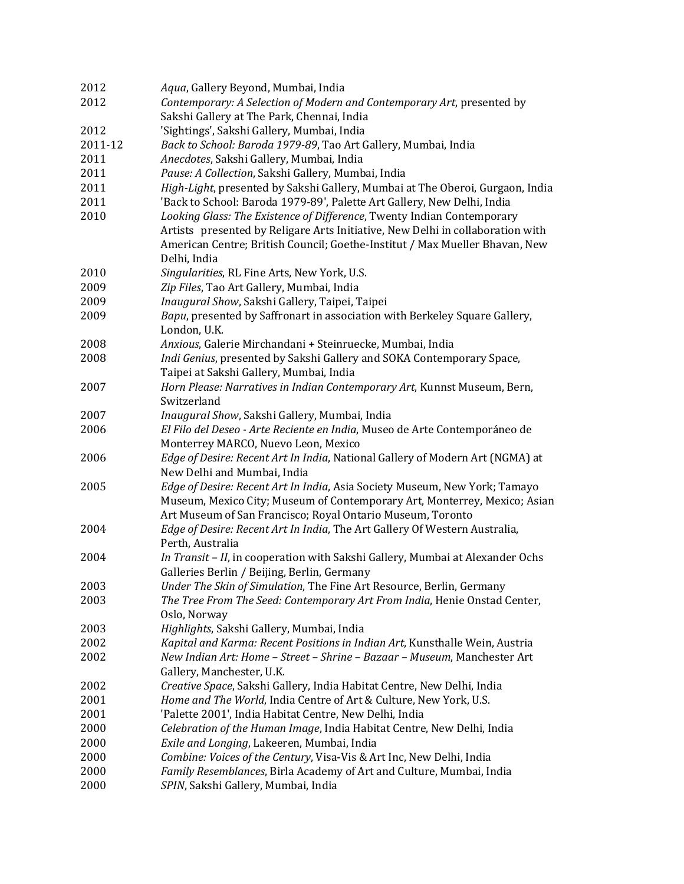| 2012    | Aqua, Gallery Beyond, Mumbai, India                                            |
|---------|--------------------------------------------------------------------------------|
| 2012    | Contemporary: A Selection of Modern and Contemporary Art, presented by         |
|         | Sakshi Gallery at The Park, Chennai, India                                     |
| 2012    | 'Sightings', Sakshi Gallery, Mumbai, India                                     |
| 2011-12 | Back to School: Baroda 1979-89, Tao Art Gallery, Mumbai, India                 |
| 2011    | Anecdotes, Sakshi Gallery, Mumbai, India                                       |
| 2011    | Pause: A Collection, Sakshi Gallery, Mumbai, India                             |
| 2011    | High-Light, presented by Sakshi Gallery, Mumbai at The Oberoi, Gurgaon, India  |
| 2011    | 'Back to School: Baroda 1979-89', Palette Art Gallery, New Delhi, India        |
| 2010    | Looking Glass: The Existence of Difference, Twenty Indian Contemporary         |
|         | Artists presented by Religare Arts Initiative, New Delhi in collaboration with |
|         | American Centre; British Council; Goethe-Institut / Max Mueller Bhavan, New    |
|         | Delhi, India                                                                   |
| 2010    | Singularities, RL Fine Arts, New York, U.S.                                    |
| 2009    | Zip Files, Tao Art Gallery, Mumbai, India                                      |
| 2009    | Inaugural Show, Sakshi Gallery, Taipei, Taipei                                 |
| 2009    | Bapu, presented by Saffronart in association with Berkeley Square Gallery,     |
|         | London, U.K.                                                                   |
| 2008    | Anxious, Galerie Mirchandani + Steinruecke, Mumbai, India                      |
| 2008    | Indi Genius, presented by Sakshi Gallery and SOKA Contemporary Space,          |
|         | Taipei at Sakshi Gallery, Mumbai, India                                        |
| 2007    | Horn Please: Narratives in Indian Contemporary Art, Kunnst Museum, Bern,       |
|         | Switzerland                                                                    |
| 2007    | Inaugural Show, Sakshi Gallery, Mumbai, India                                  |
| 2006    | El Filo del Deseo - Arte Reciente en India, Museo de Arte Contemporáneo de     |
|         | Monterrey MARCO, Nuevo Leon, Mexico                                            |
| 2006    | Edge of Desire: Recent Art In India, National Gallery of Modern Art (NGMA) at  |
|         | New Delhi and Mumbai, India                                                    |
| 2005    | Edge of Desire: Recent Art In India, Asia Society Museum, New York; Tamayo     |
|         | Museum, Mexico City; Museum of Contemporary Art, Monterrey, Mexico; Asian      |
|         | Art Museum of San Francisco; Royal Ontario Museum, Toronto                     |
| 2004    | Edge of Desire: Recent Art In India, The Art Gallery Of Western Australia,     |
|         | Perth, Australia                                                               |
| 2004    | In Transit - II, in cooperation with Sakshi Gallery, Mumbai at Alexander Ochs  |
|         | Galleries Berlin / Beijing, Berlin, Germany                                    |
| 2003    | Under The Skin of Simulation, The Fine Art Resource, Berlin, Germany           |
| 2003    | The Tree From The Seed: Contemporary Art From India, Henie Onstad Center,      |
|         | Oslo, Norway                                                                   |
| 2003    | Highlights, Sakshi Gallery, Mumbai, India                                      |
| 2002    | Kapital and Karma: Recent Positions in Indian Art, Kunsthalle Wein, Austria    |
| 2002    | New Indian Art: Home - Street - Shrine - Bazaar - Museum, Manchester Art       |
|         | Gallery, Manchester, U.K.                                                      |
| 2002    | Creative Space, Sakshi Gallery, India Habitat Centre, New Delhi, India         |
| 2001    | Home and The World, India Centre of Art & Culture, New York, U.S.              |
| 2001    | 'Palette 2001', India Habitat Centre, New Delhi, India                         |
| 2000    | Celebration of the Human Image, India Habitat Centre, New Delhi, India         |
| 2000    | Exile and Longing, Lakeeren, Mumbai, India                                     |
| 2000    | Combine: Voices of the Century, Visa-Vis & Art Inc, New Delhi, India           |
| 2000    | Family Resemblances, Birla Academy of Art and Culture, Mumbai, India           |
| 2000    | SPIN, Sakshi Gallery, Mumbai, India                                            |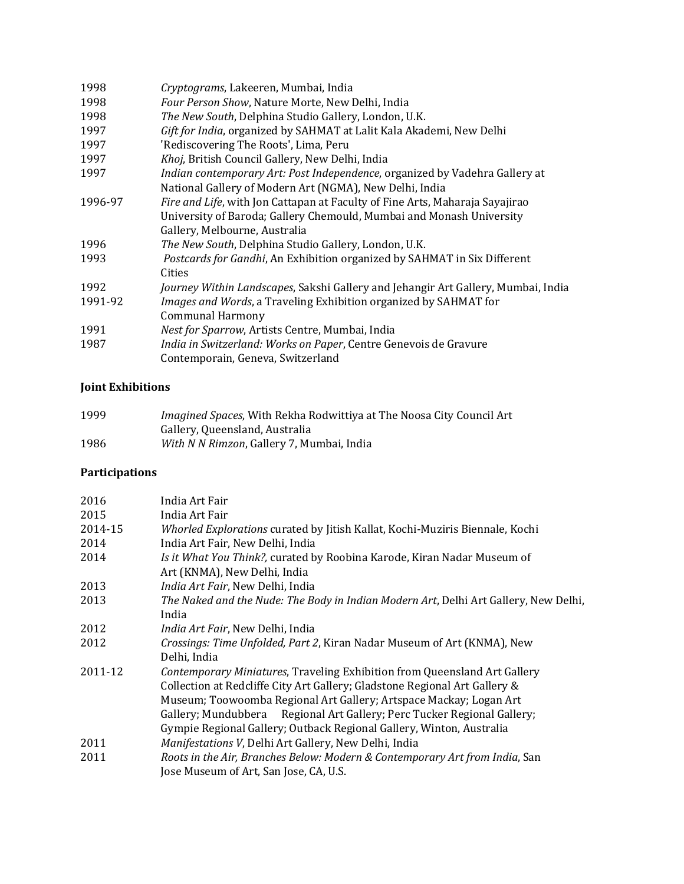| 1998    | Cryptograms, Lakeeren, Mumbai, India                                              |
|---------|-----------------------------------------------------------------------------------|
| 1998    | Four Person Show, Nature Morte, New Delhi, India                                  |
| 1998    | The New South, Delphina Studio Gallery, London, U.K.                              |
| 1997    | Gift for India, organized by SAHMAT at Lalit Kala Akademi, New Delhi              |
| 1997    | 'Rediscovering The Roots', Lima, Peru                                             |
| 1997    | Khoj, British Council Gallery, New Delhi, India                                   |
| 1997    | Indian contemporary Art: Post Independence, organized by Vadehra Gallery at       |
|         | National Gallery of Modern Art (NGMA), New Delhi, India                           |
| 1996-97 | Fire and Life, with Jon Cattapan at Faculty of Fine Arts, Maharaja Sayajirao      |
|         | University of Baroda; Gallery Chemould, Mumbai and Monash University              |
|         | Gallery, Melbourne, Australia                                                     |
| 1996    | The New South, Delphina Studio Gallery, London, U.K.                              |
| 1993    | Postcards for Gandhi, An Exhibition organized by SAHMAT in Six Different          |
|         | Cities                                                                            |
| 1992    | Journey Within Landscapes, Sakshi Gallery and Jehangir Art Gallery, Mumbai, India |
| 1991-92 | <i>Images and Words, a Traveling Exhibition organized by SAHMAT for</i>           |
|         | <b>Communal Harmony</b>                                                           |
| 1991    | Nest for Sparrow, Artists Centre, Mumbai, India                                   |
| 1987    | India in Switzerland: Works on Paper, Centre Genevois de Gravure                  |
|         | Contemporain, Geneva, Switzerland                                                 |
|         |                                                                                   |

# **Joint Exhibitions**

| 1999 | <i>Imagined Spaces, With Rekha Rodwittiya at The Noosa City Council Art</i> |
|------|-----------------------------------------------------------------------------|
|      | Gallery, Queensland, Australia                                              |
| 1986 | With N N Rimzon, Gallery 7, Mumbai, India                                   |

# **Participations**

| 2016    | India Art Fair                                                                                                                                                                                                                                                                                                                                                                   |
|---------|----------------------------------------------------------------------------------------------------------------------------------------------------------------------------------------------------------------------------------------------------------------------------------------------------------------------------------------------------------------------------------|
| 2015    | India Art Fair                                                                                                                                                                                                                                                                                                                                                                   |
| 2014-15 | Whorled Explorations curated by Jitish Kallat, Kochi-Muziris Biennale, Kochi                                                                                                                                                                                                                                                                                                     |
| 2014    | India Art Fair, New Delhi, India                                                                                                                                                                                                                                                                                                                                                 |
| 2014    | Is it What You Think?, curated by Roobina Karode, Kiran Nadar Museum of<br>Art (KNMA), New Delhi, India                                                                                                                                                                                                                                                                          |
| 2013    | India Art Fair, New Delhi, India                                                                                                                                                                                                                                                                                                                                                 |
| 2013    | The Naked and the Nude: The Body in Indian Modern Art, Delhi Art Gallery, New Delhi,<br>India                                                                                                                                                                                                                                                                                    |
| 2012    | <i>India Art Fair</i> , New Delhi, India                                                                                                                                                                                                                                                                                                                                         |
| 2012    | Crossings: Time Unfolded, Part 2, Kiran Nadar Museum of Art (KNMA), New<br>Delhi, India                                                                                                                                                                                                                                                                                          |
| 2011-12 | Contemporary Miniatures, Traveling Exhibition from Queensland Art Gallery<br>Collection at Redcliffe City Art Gallery; Gladstone Regional Art Gallery &<br>Museum; Toowoomba Regional Art Gallery; Artspace Mackay; Logan Art<br>Gallery; Mundubbera Regional Art Gallery; Perc Tucker Regional Gallery;<br>Gympie Regional Gallery; Outback Regional Gallery, Winton, Australia |
| 2011    | Manifestations V, Delhi Art Gallery, New Delhi, India                                                                                                                                                                                                                                                                                                                            |
| 2011    | Roots in the Air, Branches Below: Modern & Contemporary Art from India, San<br>Jose Museum of Art, San Jose, CA, U.S.                                                                                                                                                                                                                                                            |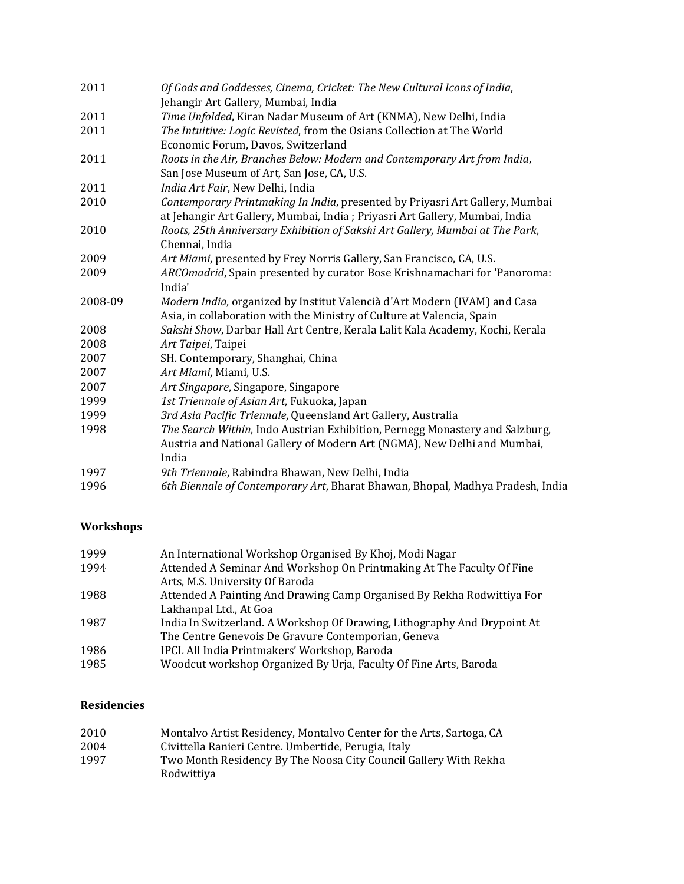| 2011    | Of Gods and Goddesses, Cinema, Cricket: The New Cultural Icons of India,<br>Jehangir Art Gallery, Mumbai, India                                             |
|---------|-------------------------------------------------------------------------------------------------------------------------------------------------------------|
| 2011    | Time Unfolded, Kiran Nadar Museum of Art (KNMA), New Delhi, India                                                                                           |
| 2011    | The Intuitive: Logic Revisted, from the Osians Collection at The World<br>Economic Forum, Davos, Switzerland                                                |
| 2011    | Roots in the Air, Branches Below: Modern and Contemporary Art from India,                                                                                   |
|         | San Jose Museum of Art, San Jose, CA, U.S.                                                                                                                  |
| 2011    | India Art Fair, New Delhi, India                                                                                                                            |
| 2010    | Contemporary Printmaking In India, presented by Priyasri Art Gallery, Mumbai<br>at Jehangir Art Gallery, Mumbai, India; Priyasri Art Gallery, Mumbai, India |
| 2010    | Roots, 25th Anniversary Exhibition of Sakshi Art Gallery, Mumbai at The Park,<br>Chennai, India                                                             |
| 2009    | Art Miami, presented by Frey Norris Gallery, San Francisco, CA, U.S.                                                                                        |
| 2009    | ARCOmadrid, Spain presented by curator Bose Krishnamachari for 'Panoroma:                                                                                   |
|         | India'                                                                                                                                                      |
| 2008-09 | Modern India, organized by Institut Valencià d'Art Modern (IVAM) and Casa<br>Asia, in collaboration with the Ministry of Culture at Valencia, Spain         |
| 2008    | Sakshi Show, Darbar Hall Art Centre, Kerala Lalit Kala Academy, Kochi, Kerala                                                                               |
| 2008    | Art Taipei, Taipei                                                                                                                                          |
| 2007    | SH. Contemporary, Shanghai, China                                                                                                                           |
| 2007    | Art Miami, Miami, U.S.                                                                                                                                      |
| 2007    | Art Singapore, Singapore, Singapore                                                                                                                         |
| 1999    | 1st Triennale of Asian Art, Fukuoka, Japan                                                                                                                  |
| 1999    | 3rd Asia Pacific Triennale, Queensland Art Gallery, Australia                                                                                               |
| 1998    | The Search Within, Indo Austrian Exhibition, Pernegg Monastery and Salzburg,                                                                                |
|         | Austria and National Gallery of Modern Art (NGMA), New Delhi and Mumbai,<br>India                                                                           |
| 1997    | 9th Triennale, Rabindra Bhawan, New Delhi, India                                                                                                            |
| 1996    | 6th Biennale of Contemporary Art, Bharat Bhawan, Bhopal, Madhya Pradesh, India                                                                              |

# **Workshops**

| 1999 | An International Workshop Organised By Khoj, Modi Nagar                  |
|------|--------------------------------------------------------------------------|
| 1994 | Attended A Seminar And Workshop On Printmaking At The Faculty Of Fine    |
|      | Arts, M.S. University Of Baroda                                          |
| 1988 | Attended A Painting And Drawing Camp Organised By Rekha Rodwittiya For   |
|      | Lakhanpal Ltd., At Goa                                                   |
| 1987 | India In Switzerland. A Workshop Of Drawing, Lithography And Drypoint At |
|      | The Centre Genevois De Gravure Contemporian, Geneva                      |
| 1986 | IPCL All India Printmakers' Workshop, Baroda                             |
| 1985 | Woodcut workshop Organized By Urja, Faculty Of Fine Arts, Baroda         |

### **Residencies**

| 2010 | Montalvo Artist Residency, Montalvo Center for the Arts, Sartoga, CA           |
|------|--------------------------------------------------------------------------------|
| 2004 | Civittella Ranieri Centre. Umbertide. Perugia. Italy                           |
| 1997 | Two Month Residency By The Noosa City Council Gallery With Rekha<br>Rodwittiva |
|      |                                                                                |